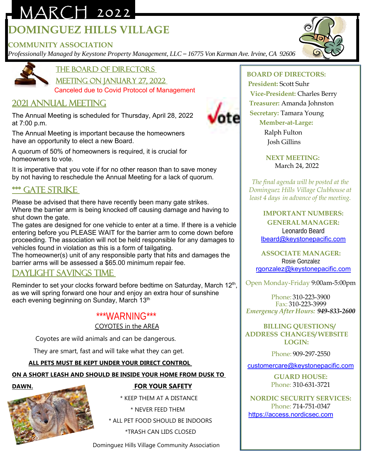# MARCH 2022 **DOMINGUEZ HILLS VILLAGE**

### **COMMUNITY ASSOCIATION**

*Professionally Managed by Keystone Property Management, LLC – 16775 Von Karman Ave. Irvine, CA 92606*



the Board of Directors

Meeting on January 27, 2022 Canceled due to Covid Protocol of Management

## 2021 Annual Meeting

The Annual Meeting is scheduled for Thursday, April 28, 2022 at 7:00 p.m.

The Annual Meeting is important because the homeowners have an opportunity to elect a new Board.

A quorum of 50% of homeowners is required, it is crucial for homeowners to vote.

It is imperative that you vote if for no other reason than to save money by not having to reschedule the Annual Meeting for a lack of quorum.

## \*\*\* Gate strike

Please be advised that there have recently been many gate strikes. Where the barrier arm is being knocked off causing damage and having to shut down the gate.

The gates are designed for one vehicle to enter at a time. If there is a vehicle entering before you PLEASE WAIT for the barrier arm to come down before proceeding. The association will not be held responsible for any damages to vehicles found in violation as this is a form of tailgating.

The homeowner(s) unit of any responsible party that hits and damages the barrier arms will be assessed a \$65.00 minimum repair fee.

## Daylight savings time

Reminder to set your clocks forward before bedtime on Saturday, March 12<sup>th</sup>, as we will spring forward one hour and enjoy an extra hour of sunshine each evening beginning on Sunday, March 13<sup>th</sup>

#### \*\*\*WARNING\*\*\*

COYOTES in the AREA

Coyotes are wild animals and can be dangerous.

They are smart, fast and will take what they can get.

#### **ALL PETS MUST BE KEPT UNDER YOUR DIRECT CONTROL**

**ON A SHORT LEASH AND SHOULD BE INSIDE YOUR HOME FROM DUSK TO** 



## **DAWN. FOR YOUR SAFETY**

\* KEEP THEM AT A DISTANCE

\* NEVER FEED THEM

\* ALL PET FOOD SHOULD BE INDOORS

\*TRASH CAN LIDS CLOSED

Dominguez Hills Village Community Association

#### **BOARD OF DIRECTORS:**

 **President:** Scott Suhr **Vice-President:** Charles Berry **Treasurer:** Amanda Johnston  **Secretary:** Tamara Young  **Member-at-Large:**

> Ralph Fulton Josh Gillins

 **NEXT MEETING:** March 24, 2022

*The final agenda will be posted at the Dominguez Hills Village Clubhouse at least 4 days in advance of the meeting.*

> **IMPORTANT NUMBERS: GENERALMANAGER:** Leonardo Beard [lbeard@keystonepacific.com](mailto:lbeard@keystonepacific.com)

**ASSOCIATE MANAGER:** Rosie Gonzalez [rgonzalez@keystonepacific.com](mailto:rgonzalez@keystonepacific.com)

Open Monday-Friday 9:00am-5:00pm

Phone: 310-223-3900 Fax: 310-223-3999 *Emergency After Hours: 949-833-2600*

#### **BILLING QUESTIONS/ ADDRESS CHANGES/ WEBSITE LOGIN:**

Phone: 909-297-2550

[customercare@keystonepacific.com](mailto:customercare@keystonepacific.com)

**GUARD HOUSE:** Phone: 310-631-3721

**NORDIC SECURITY SERVICES:** Phone: 714-751-0347 [https://access.nordicsec.com](https://access.nordicsec.com/)